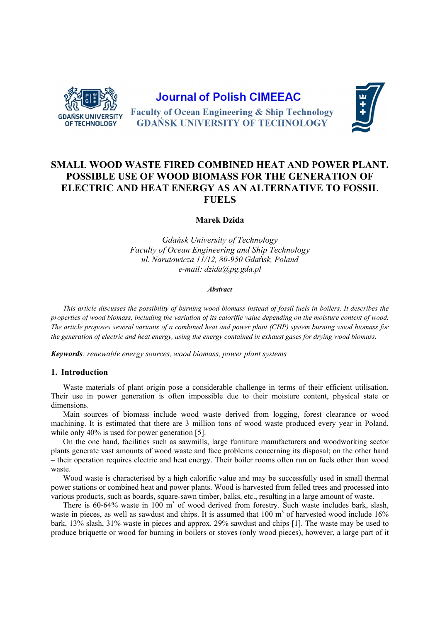

# **Journal of Polish CIMEEAC**

**Faculty of Ocean Engineering & Ship Technology GDAŃSK UNIVERSITY OF TECHNOLOGY** 



## SMALL WOOD WASTE FIRED COMBINED HEAT AND POWER PLANT. POSSIBLE USE OF WOOD BIOMASS FOR THE GENERATION OF ELECTRIC AND HEAT ENERGY AS AN ALTERNATIVE TO FOSSIL **FUELS**

Marek Dzida

Gdańsk University of Technology Faculty of Ocean Engineering and Ship Technology ul. Narutowicza 11/12, 80-950 Gdańsk, Poland e-mail: dzida@pg.gda.pl

#### **Abstract**

This article discusses the possibility of burning wood biomass instead of fossil fuels in boilers. It describes the properties of wood biomass, including the variation of its calorific value depending on the moisture content of wood. The article proposes several variants of a combined heat and power plant (CHP) system burning wood biomass for the generation of electric and heat energy, using the energy contained in exhaust gases for drying wood biomass.

Keywords: renewable energy sources, wood biomass, power plant systems

## 1. Introduction

Waste materials of plant origin pose a considerable challenge in terms of their efficient utilisation. Their use in power generation is often impossible due to their moisture content, physical state or dimensions.

Main sources of biomass include wood waste derived from logging, forest clearance or wood machining. It is estimated that there are 3 million tons of wood waste produced every year in Poland, while only  $40\%$  is used for power generation [5].

On the one hand, facilities such as sawmills, large furniture manufacturers and woodworking sector plants generate vast amounts of wood waste and face problems concerning its disposal; on the other hand - their operation requires electric and heat energy. Their boiler rooms often run on fuels other than wood waste.

Wood waste is characterised by a high calorific value and may be successfully used in small thermal power stations or combined heat and power plants. Wood is harvested from felled trees and processed into various products, such as boards, square-sawn timber, balks, etc., resulting in a large amount of waste.

There is 60-64% waste in 100 m<sup>3</sup> of wood derived from forestry. Such waste includes bark, slash, waste in pieces, as well as sawdust and chips. It is assumed that 100 m<sup>3</sup> of harvested wood include 16% bark, 13% slash, 31% waste in pieces and approx. 29% sawdust and chips [1]. The waste may be used to produce briquette or wood for burning in boilers or stoves (only wood pieces), however, a large part of it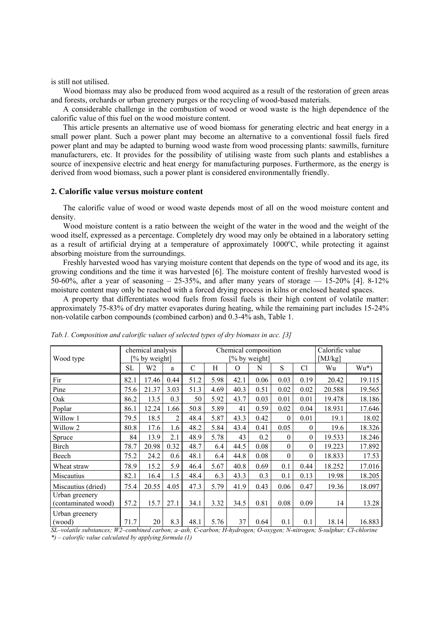is still not utilised.

 Wood biomass may also be produced from wood acquired as a result of the restoration of green areas and forests, orchards or urban greenery purges or the recycling of wood-based materials.

 A considerable challenge in the combustion of wood or wood waste is the high dependence of the calorific value of this fuel on the wood moisture content.

 This article presents an alternative use of wood biomass for generating electric and heat energy in a small power plant. Such a power plant may become an alternative to a conventional fossil fuels fired power plant and may be adapted to burning wood waste from wood processing plants: sawmills, furniture manufacturers, etc. It provides for the possibility of utilising waste from such plants and establishes a source of inexpensive electric and heat energy for manufacturing purposes. Furthermore, as the energy is derived from wood biomass, such a power plant is considered environmentally friendly.

## **2. Calorific value versus moisture content**

 The calorific value of wood or wood waste depends most of all on the wood moisture content and density.

 Wood moisture content is a ratio between the weight of the water in the wood and the weight of the wood itself, expressed as a percentage. Completely dry wood may only be obtained in a laboratory setting as a result of artificial drying at a temperature of approximately 1000°C, while protecting it against absorbing moisture from the surroundings.

 Freshly harvested wood has varying moisture content that depends on the type of wood and its age, its growing conditions and the time it was harvested [6]. The moisture content of freshly harvested wood is 50-60%, after a year of seasoning  $-25-35$ %, and after many years of storage  $-15-20$ % [4]. 8-12% moisture content may only be reached with a forced drying process in kilns or enclosed heated spaces.

 A property that differentiates wood fuels from fossil fuels is their high content of volatile matter: approximately 75-83% of dry matter evaporates during heating, while the remaining part includes 15-24% non-volatile carbon compounds (combined carbon) and 0.3-4% ash, Table 1.

| Wood type                             | chemical analysis<br>% by weight] |       |      | Chemical composition<br>[% by weight] |      |          |      |          |          | Calorific value<br>[ $MJ/kg$ ] |        |
|---------------------------------------|-----------------------------------|-------|------|---------------------------------------|------|----------|------|----------|----------|--------------------------------|--------|
|                                       | SL                                | W2    | a    | $\mathcal{C}$                         | Η    | $\Omega$ | N    | S        | Cl       | Wu                             | $Wu^*$ |
| Fir                                   | 82.1                              | 17.46 | 0.44 | 51.2                                  | 5.98 | 42.1     | 0.06 | 0.03     | 0.19     | 20.42                          | 19.115 |
| Pine                                  | 75.6                              | 21.37 | 3.03 | 51.3                                  | 4.69 | 40.3     | 0.51 | 0.02     | 0.02     | 20.588                         | 19.565 |
| Oak                                   | 86.2                              | 13.5  | 0.3  | 50                                    | 5.92 | 43.7     | 0.03 | 0.01     | 0.01     | 19.478                         | 18.186 |
| Poplar                                | 86.1                              | 12.24 | 1.66 | 50.8                                  | 5.89 | 41       | 0.59 | 0.02     | 0.04     | 18.931                         | 17.646 |
| Willow 1                              | 79.5                              | 18.5  | 2    | 48.4                                  | 5.87 | 43.3     | 0.42 | $\theta$ | 0.01     | 19.1                           | 18.02  |
| Willow <sub>2</sub>                   | 80.8                              | 17.6  | 1.6  | 48.2                                  | 5.84 | 43.4     | 0.41 | 0.05     | $\theta$ | 19.6                           | 18.326 |
| Spruce                                | 84                                | 13.9  | 2.1  | 48.9                                  | 5.78 | 43       | 0.2  | $\theta$ | $\theta$ | 19.533                         | 18.246 |
| Birch                                 | 78.7                              | 20.98 | 0.32 | 48.7                                  | 6.4  | 44.5     | 0.08 | $\theta$ | $\theta$ | 19.223                         | 17.892 |
| Beech                                 | 75.2                              | 24.2  | 0.6  | 48.1                                  | 6.4  | 44.8     | 0.08 | $\theta$ | $\theta$ | 18.833                         | 17.53  |
| Wheat straw                           | 78.9                              | 15.2  | 5.9  | 46.4                                  | 5.67 | 40.8     | 0.69 | 0.1      | 0.44     | 18.252                         | 17.016 |
| Miscautius                            | 82.1                              | 16.4  | 1.5  | 48.4                                  | 6.3  | 43.3     | 0.3  | 0.1      | 0.13     | 19.98                          | 18.205 |
| Miscautius (dried)                    | 75.4                              | 20.55 | 4.05 | 47.3                                  | 5.79 | 41.9     | 0.43 | 0.06     | 0.47     | 19.36                          | 18.097 |
| Urban greenery<br>(contaminated wood) | 57.2                              | 15.7  | 27.1 | 34.1                                  | 3.32 | 34.5     | 0.81 | 0.08     | 0.09     | 14                             | 13.28  |
| Urban greenery<br>(wood)              | 71.7                              | 20    | 8.3  | 48.1                                  | 5.76 | 37       | 0.64 | 0.1      | 0.1      | 18.14                          | 16.883 |

*Tab.1. Composition and calorific values of selected types of dry biomass in acc. [3]* 

*SL–volatile substances; W2–combined carbon; a–ash; C-carbon; H-hydrogen; O-oxygen; N-nitrogen; S-sulphur; CI-chlorine* 

*\*) – calorific value calculated by applying formula (1)*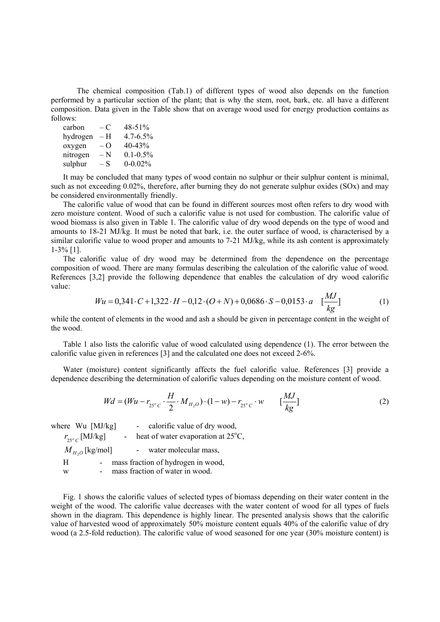The chemical composition (Tab.1) of different types of wood also depends on the function performed by a particular section of the plant; that is why the stem, root, bark, etc. all have a different composition. Data given in the Table show that on average wood used for energy production contains as follows:

| carbon   | $-C$                       | 48-51%        |
|----------|----------------------------|---------------|
| hydrogen | – H                        | $4.7 - 6.5\%$ |
| oxygen   | $-\Omega$                  | 40-43%        |
| nitrogen | $-\mathop{\rm N}\nolimits$ | $0.1 - 0.5\%$ |
| sulphur  | $-S$                       | $0 - 0.02%$   |

 It may be concluded that many types of wood contain no sulphur or their sulphur content is minimal, such as not exceeding 0.02%, therefore, after burning they do not generate sulphur oxides (SOx) and may be considered environmentally friendly.

 The calorific value of wood that can be found in different sources most often refers to dry wood with zero moisture content. Wood of such a calorific value is not used for combustion. The calorific value of wood biomass is also given in Table 1. The calorific value of dry wood depends on the type of wood and amounts to 18-21 MJ/kg. It must be noted that bark, i.e. the outer surface of wood, is characterised by a similar calorific value to wood proper and amounts to 7-21 MJ/kg, while its ash content is approximately 1-3% [1].

 The calorific value of dry wood may be determined from the dependence on the percentage composition of wood. There are many formulas describing the calculation of the calorific value of wood. References [3,2] provide the following dependence that enables the calculation of dry wood calorific value:

$$
Wu = 0,341 \cdot C + 1,322 \cdot H - 0,12 \cdot (O + N) + 0,0686 \cdot S - 0,0153 \cdot a \quad \left[\frac{MJ}{kg}\right] \tag{1}
$$

while the content of elements in the wood and ash a should be given in percentage content in the weight of the wood.

 Table 1 also lists the calorific value of wood calculated using dependence (1). The error between the calorific value given in references [3] and the calculated one does not exceed 2-6%.

 Water (moisture) content significantly affects the fuel calorific value. References [3] provide a dependence describing the determination of calorific values depending on the moisture content of wood.

$$
Wd = (Wu - r_{25^{\circ}C} \cdot \frac{H}{2} \cdot M_{H_2O}) \cdot (1 - w) - r_{25^{\circ}C} \cdot w \qquad \left[\frac{MJ}{kg}\right] \tag{2}
$$

|   | where Wu [MJ/kg]          |  | - calorific value of dry wood,               |
|---|---------------------------|--|----------------------------------------------|
|   | $r_{25^{\circ}C}$ [MJ/kg] |  | heat of water evaporation at $25^{\circ}$ C, |
|   | $M_{H_2O}$ [kg/mol]       |  | water molecular mass,                        |
| H |                           |  | mass fraction of hydrogen in wood,           |
| w |                           |  | mass fraction of water in wood.              |
|   |                           |  |                                              |

 Fig. 1 shows the calorific values of selected types of biomass depending on their water content in the weight of the wood. The calorific value decreases with the water content of wood for all types of fuels shown in the diagram. This dependence is highly linear. The presented analysis shows that the calorific value of harvested wood of approximately 50% moisture content equals 40% of the calorific value of dry wood (a 2.5-fold reduction). The calorific value of wood seasoned for one year (30% moisture content) is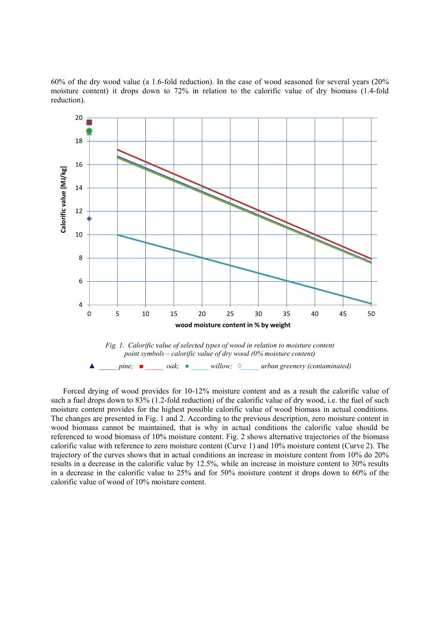60% of the dry wood value (a 1.6-fold reduction). In the case of wood seasoned for several years (20% moisture content) it drops down to 72% in relation to the calorific value of dry biomass (1.4-fold reduction).



Forced drying of wood provides for 10-12% moisture content and as a result the calorific value of such a fuel drops down to 83% (1.2-fold reduction) of the calorific value of dry wood, i.e. the fuel of such moisture content provides for the highest possible calorific value of wood biomass in actual conditions. The changes are presented in Fig. 1 and 2. According to the previous description, zero moisture content in wood biomass cannot be maintained, that is why in actual conditions the calorific value should be referenced to wood biomass of 10% moisture content. Fig. 2 shows alternative trajectories of the biomass calorific value with reference to zero moisture content (Curve 1) and 10% moisture content (Curve 2). The trajectory of the curves shows that in actual conditions an increase in moisture content from 10% do 20% results in a decrease in the calorific value by 12.5%, while an increase in moisture content to 30% results in a decrease in the calorific value to 25% and for 50% moisture content it drops down to 60% of the calorific value of wood of 10% moisture content.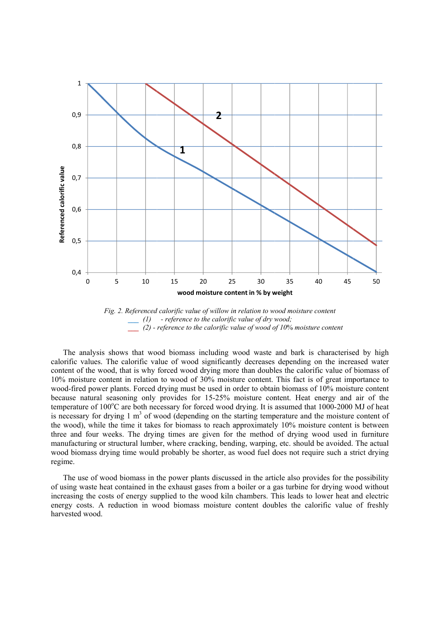

Fig. 2. Referenced calorific value of willow in relation to wood moisture content *\_\_\_ (1) - reference t to the calorific c value of dry w wood; \_\_\_ (2) - reference to th he calorific va alue of wood of of 10*% *moistu re content*

The analysis shows that wood biomass including wood waste and bark is characterised by high calorific values. The calorific value of wood significantly decreases depending on the increased water content of the wood, that is why forced wood drying more than doubles the calorific value of biomass of 10% moisture content in relation to wood of 30% moisture content. This fact is of great importance to wood-fired power plants. Forced drying must be used in order to obtain biomass of 10% moisture content because natural seasoning only provides for 15-25% moisture content. Heat energy and air of the temperature of 100°C are both necessary for forced wood drying. It is assumed that 1000-2000 MJ of heat is necessary for drying  $1 \text{ m}^3$  of wood (depending on the starting temperature and the moisture content of the wood), while the time it takes for biomass to reach approximately 10% moisture content is between three and four weeks. The drying times are given for the method of drying wood used in furniture manufacturing or structural lumber, where cracking, bending, warping, etc. should be avoided. The actual wood biomass drying time would probably be shorter, as wood fuel does not require such a strict drying regime.

The use of wood biomass in the power plants discussed in the article also provides for the possibility of using waste heat contained in the exhaust gases from a boiler or a gas turbine for drying wood without increasing the costs of energy supplied to the wood kiln chambers. This leads to lower heat and electric energy costs. A reduction in wood biomass moisture content doubles the calorific value of freshly harvested d wood.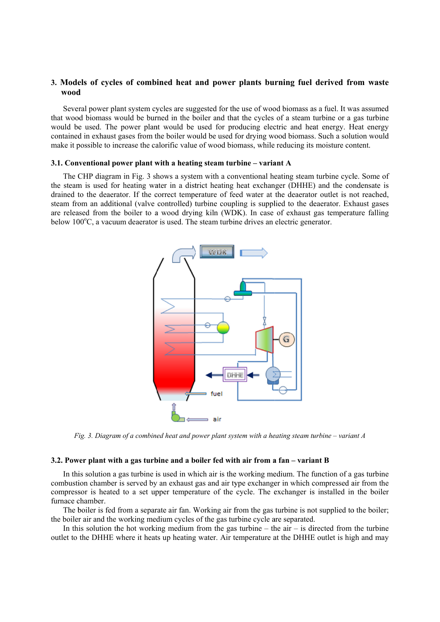## **3.** Models of cycles of combined heat and power plants burning fuel derived from waste **wood d**

Several power plant system cycles are suggested for the use of wood biomass as a fuel. It was assumed that wood biomass would be burned in the boiler and that the cycles of a steam turbine or a gas turbine would be used. The power plant would be used for producing electric and heat energy. Heat energy contained in exhaust gases from the boiler would be used for drying wood biomass. Such a solution would make it possible to increase the calorific value of wood biomass, while reducing its moisture content.

#### **3.1. Conventional power plant with a heating steam turbine – variant A**

The CHP diagram in Fig. 3 shows a system with a conventional heating steam turbine cycle. Some of the steam is used for heating water in a district heating heat exchanger (DHHE) and the condensate is drained to the deaerator. If the correct temperature of feed water at the deaerator outlet is not reached, steam from an additional (valve controlled) turbine coupling is supplied to the deaerator. Exhaust gases are released from the boiler to a wood drying kiln (WDK). In case of exhaust gas temperature falling below 100°C, a vacuum deaerator is used. The steam turbine drives an electric generator.



*Fig.* 3. Diagram of a combined heat and power plant system with a heating steam turbine – variant A

#### **3.2. Power plant with a gas turbine and a boiler fed with air from a fan – variant B**

In this solution a gas turbine is used in which air is the working medium. The function of a gas turbine combustion chamber is served by an exhaust gas and air type exchanger in which compressed air from the compressor is heated to a set upper temperature of the cycle. The exchanger is installed in the boiler furnace chamber.

The boiler is fed from a separate air fan. Working air from the gas turbine is not supplied to the boiler; the boiler air and the working medium cycles of the gas turbine cycle are separated.

In this solution the hot working medium from the gas turbine  $-$  the air  $-$  is directed from the turbine outlet to the DHHE where it heats up heating water. Air temperature at the DHHE outlet is high and may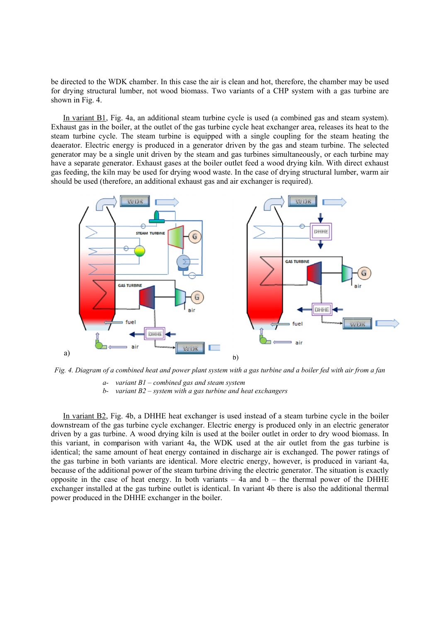be directed to the WDK chamber. In this case the air is clean and hot, therefore, the chamber may be used for drying structural lumber, not wood biomass. Two variants of a CHP system with a gas turbine are shown in Fig. 4.

In variant B1, Fig. 4a, an additional steam turbine cycle is used (a combined gas and steam system). Exhaust gas in the boiler, at the outlet of the gas turbine cycle heat exchanger area, releases its heat to the steam turbine cycle. The steam turbine is equipped with a single coupling for the steam heating the deaerator. Electric energy is produced in a generator driven by the gas and steam turbine. The selected generator may be a single unit driven by the steam and gas turbines simultaneously, or each turbine may have a separate generator. Exhaust gases at the boiler outlet feed a wood drying kiln. With direct exhaust gas feeding, the kiln may be used for drying wood waste. In the case of drying structural lumber, warm air should be used (therefore, an additional exhaust gas and air exchanger is required).



*Fig. 4. D Diagram of a c combined heat t and power pl lant system wi ith a gas turbi ine and a boile er fed with air r from a fan* 

- a- variant  $BI$  combined gas and steam system
- *b* variant B2 system with a gas turbine and heat exchangers

In variant B2, Fig. 4b, a DHHE heat exchanger is used instead of a steam turbine cycle in the boiler downstream of the gas turbine cycle exchanger. Electric energy is produced only in an electric generator driven by a gas turbine. A wood drying kiln is used at the boiler outlet in order to dry wood biomass. In this variant, in comparison with variant 4a, the WDK used at the air outlet from the gas turbine is identical; the same amount of heat energy contained in discharge air is exchanged. The power ratings of the gas turbine in both variants are identical. More electric energy, however, is produced in variant 4a, because of the additional power of the steam turbine driving the electric generator. The situation is exactly opposite in the case of heat energy. In both variants  $-4a$  and  $b -$  the thermal power of the DHHE exchanger installed at the gas turbine outlet is identical. In variant 4b there is also the additional thermal power produced in the DHHE exchanger in the boiler.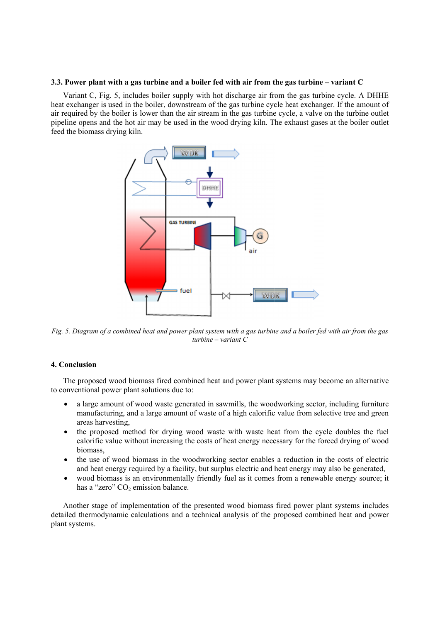#### **3.3. Power plant with a gas turbine and a boiler fed with air from the gas turbine – variant C**

Variant C, Fig. 5, includes boiler supply with hot discharge air from the gas turbine cycle. A DHHE heat exchanger is used in the boiler, downstream of the gas turbine cycle heat exchanger. If the amount of air required by the boiler is lower than the air stream in the gas turbine cycle, a valve on the turbine outlet pipeline opens and the hot air may be used in the wood drying kiln. The exhaust gases at the boiler outlet feed the biomass drying kiln.



*Fig. 5. Di iagram of a co ombined heat a and power pla ant system wit th a gas turbin ne and a boiler r fed with air f from the gas tu urbine – varia nt C*

## **4. Concl lusion**

The proposed wood biomass fired combined heat and power plant systems may become an alternative to conventional power plant solutions due to:

- a large amount of wood waste generated in sawmills, the woodworking sector, including furniture manufacturing, and a large amount of waste of a high calorific value from selective tree and green a areas harvest ting,
- $\bullet$ calorific value without increasing the costs of heat energy necessary for the forced drying of wood b biomass, the proposed method for drying wood waste with waste heat from the cycle doubles the fuel
- the use of wood biomass in the woodworking sector enables a reduction in the costs of electric and heat energy required by a facility, but surplus electric and heat energy may also be generated,
- wood biomass is an environmentally friendly fuel as it comes from a renewable energy source; it has a "zero" CO<sub>2</sub> emission balance.

Another stage of implementation of the presented wood biomass fired power plant systems includes detailed thermodynamic calculations and a technical analysis of the proposed combined heat and power plant systems.